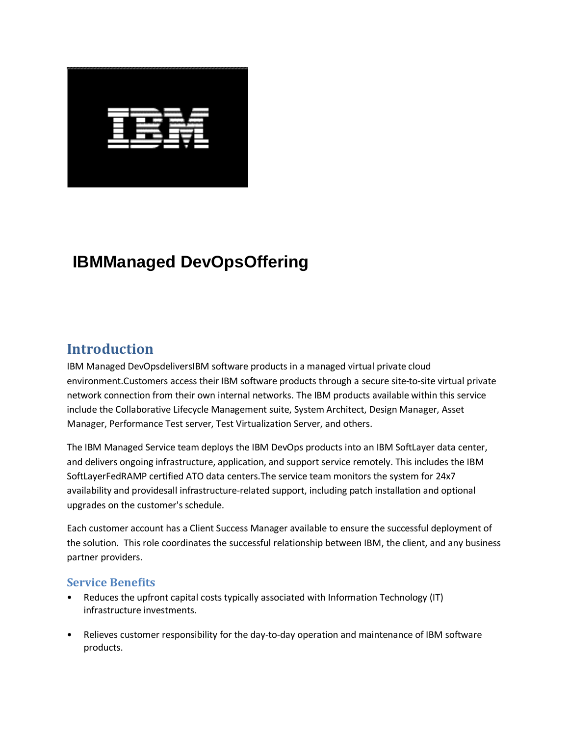

# **IBMManaged DevOpsOffering**

### **Introduction**

IBM Managed DevOpsdeliversIBM software products in a managed virtual private cloud environment.Customers access their IBM software products through a secure site-to-site virtual private network connection from their own internal networks. The IBM products available within this service include the Collaborative Lifecycle Management suite, System Architect, Design Manager, Asset Manager, Performance Test server, Test Virtualization Server, and others.

The IBM Managed Service team deploys the IBM DevOps products into an IBM SoftLayer data center, and delivers ongoing infrastructure, application, and support service remotely. This includes the IBM SoftLayerFedRAMP certified ATO data centers.The service team monitors the system for 24x7 availability and providesall infrastructure-related support, including patch installation and optional upgrades on the customer's schedule.

Each customer account has a Client Success Manager available to ensure the successful deployment of the solution. This role coordinates the successful relationship between IBM, the client, and any business partner providers.

#### **Service Benefits**

- Reduces the upfront capital costs typically associated with Information Technology (IT) infrastructure investments.
- Relieves customer responsibility for the day-to-day operation and maintenance of IBM software products.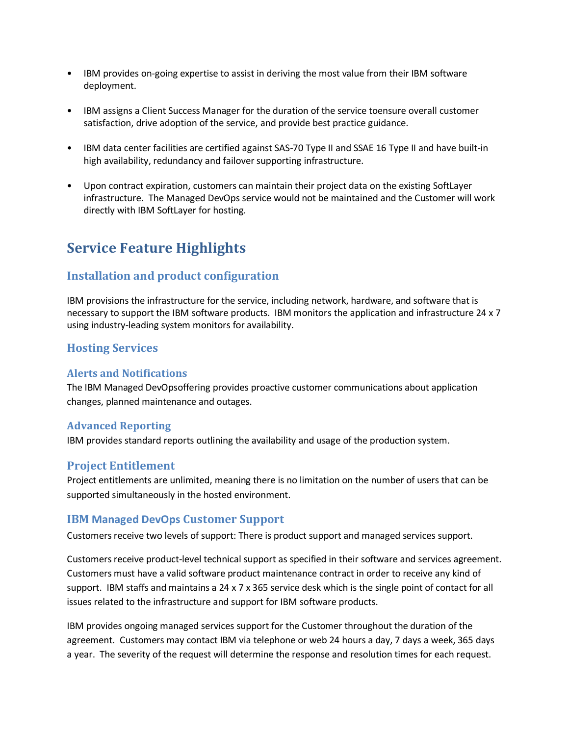- IBM provides on-going expertise to assist in deriving the most value from their IBM software deployment.
- IBM assigns a Client Success Manager for the duration of the service toensure overall customer satisfaction, drive adoption of the service, and provide best practice guidance.
- IBM data center facilities are certified against SAS-70 Type II and SSAE 16 Type II and have built-in high availability, redundancy and failover supporting infrastructure.
- Upon contract expiration, customers can maintain their project data on the existing SoftLayer infrastructure. The Managed DevOps service would not be maintained and the Customer will work directly with IBM SoftLayer for hosting.

# **Service Feature Highlights**

#### **Installation and product configuration**

IBM provisions the infrastructure for the service, including network, hardware, and software that is necessary to support the IBM software products. IBM monitors the application and infrastructure 24 x 7 using industry-leading system monitors for availability.

#### **Hosting Services**

#### **Alerts and Notifications**

The IBM Managed DevOpsoffering provides proactive customer communications about application changes, planned maintenance and outages.

#### **Advanced Reporting**

IBM provides standard reports outlining the availability and usage of the production system.

#### **Project Entitlement**

Project entitlements are unlimited, meaning there is no limitation on the number of users that can be supported simultaneously in the hosted environment.

#### **IBM Managed DevOps Customer Support**

Customers receive two levels of support: There is product support and managed services support.

Customers receive product-level technical support as specified in their software and services agreement. Customers must have a valid software product maintenance contract in order to receive any kind of support. IBM staffs and maintains a 24 x 7 x 365 service desk which is the single point of contact for all issues related to the infrastructure and support for IBM software products.

IBM provides ongoing managed services support for the Customer throughout the duration of the agreement. Customers may contact IBM via telephone or web 24 hours a day, 7 days a week, 365 days a year. The severity of the request will determine the response and resolution times for each request.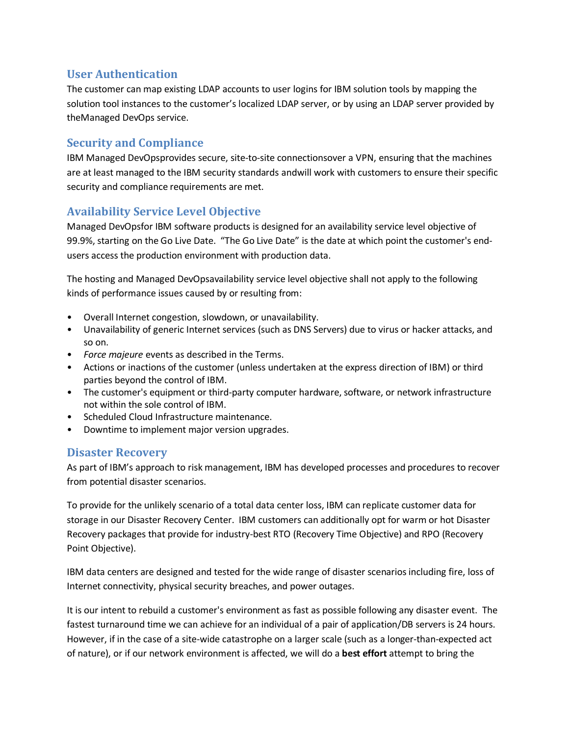### **User Authentication**

The customer can map existing LDAP accounts to user logins for IBM solution tools by mapping the solution tool instances to the customer's localized LDAP server, or by using an LDAP server provided by theManaged DevOps service.

### **Security and Compliance**

IBM Managed DevOpsprovides secure, site-to-site connectionsover a VPN, ensuring that the machines are at least managed to the IBM security standards andwill work with customers to ensure their specific security and compliance requirements are met.

### **Availability Service Level Objective**

Managed DevOpsfor IBM software products is designed for an availability service level objective of 99.9%, starting on the Go Live Date. "The Go Live Date" is the date at which point the customer's endusers access the production environment with production data.

The hosting and Managed DevOpsavailability service level objective shall not apply to the following kinds of performance issues caused by or resulting from:

- Overall Internet congestion, slowdown, or unavailability.
- Unavailability of generic Internet services (such as DNS Servers) due to virus or hacker attacks, and so on.
- *Force majeure* events as described in the Terms.
- Actions or inactions of the customer (unless undertaken at the express direction of IBM) or third parties beyond the control of IBM.
- The customer's equipment or third-party computer hardware, software, or network infrastructure not within the sole control of IBM.
- Scheduled Cloud Infrastructure maintenance.
- Downtime to implement major version upgrades.

#### **Disaster Recovery**

As part of IBM's approach to risk management, IBM has developed processes and procedures to recover from potential disaster scenarios.

To provide for the unlikely scenario of a total data center loss, IBM can replicate customer data for storage in our Disaster Recovery Center. IBM customers can additionally opt for warm or hot Disaster Recovery packages that provide for industry-best RTO (Recovery Time Objective) and RPO (Recovery Point Objective).

IBM data centers are designed and tested for the wide range of disaster scenarios including fire, loss of Internet connectivity, physical security breaches, and power outages.

It is our intent to rebuild a customer's environment as fast as possible following any disaster event. The fastest turnaround time we can achieve for an individual of a pair of application/DB servers is 24 hours. However, if in the case of a site-wide catastrophe on a larger scale (such as a longer-than-expected act of nature), or if our network environment is affected, we will do a **best effort** attempt to bring the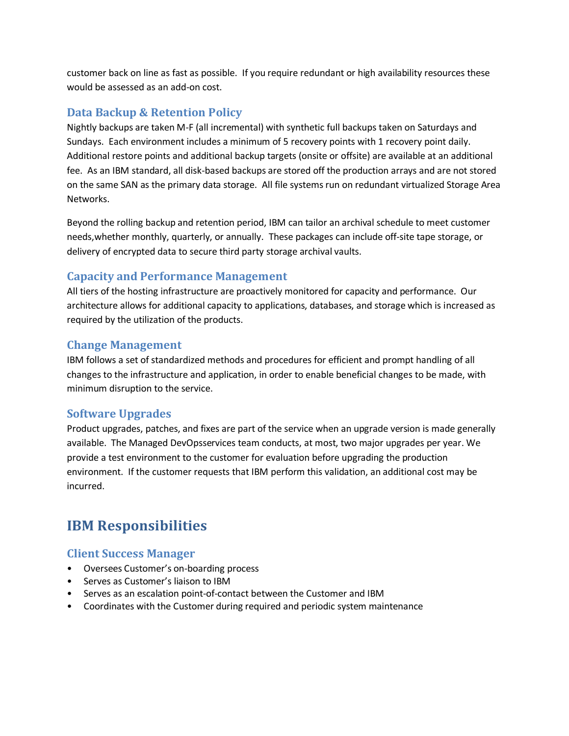customer back on line as fast as possible. If you require redundant or high availability resources these would be assessed as an add-on cost.

### **Data Backup & Retention Policy**

Nightly backups are taken M-F (all incremental) with synthetic full backups taken on Saturdays and Sundays. Each environment includes a minimum of 5 recovery points with 1 recovery point daily. Additional restore points and additional backup targets (onsite or offsite) are available at an additional fee. As an IBM standard, all disk-based backups are stored off the production arrays and are not stored on the same SAN as the primary data storage. All file systems run on redundant virtualized Storage Area Networks.

Beyond the rolling backup and retention period, IBM can tailor an archival schedule to meet customer needs,whether monthly, quarterly, or annually. These packages can include off-site tape storage, or delivery of encrypted data to secure third party storage archival vaults.

#### **Capacity and Performance Management**

All tiers of the hosting infrastructure are proactively monitored for capacity and performance. Our architecture allows for additional capacity to applications, databases, and storage which is increased as required by the utilization of the products.

#### **Change Management**

IBM follows a set of standardized methods and procedures for efficient and prompt handling of all changes to the infrastructure and application, in order to enable beneficial changes to be made, with minimum disruption to the service.

#### **Software Upgrades**

Product upgrades, patches, and fixes are part of the service when an upgrade version is made generally available. The Managed DevOpsservices team conducts, at most, two major upgrades per year. We provide a test environment to the customer for evaluation before upgrading the production environment. If the customer requests that IBM perform this validation, an additional cost may be incurred.

# **IBM Responsibilities**

#### **Client Success Manager**

- Oversees Customer's on-boarding process
- Serves as Customer's liaison to IBM
- Serves as an escalation point-of-contact between the Customer and IBM
- Coordinates with the Customer during required and periodic system maintenance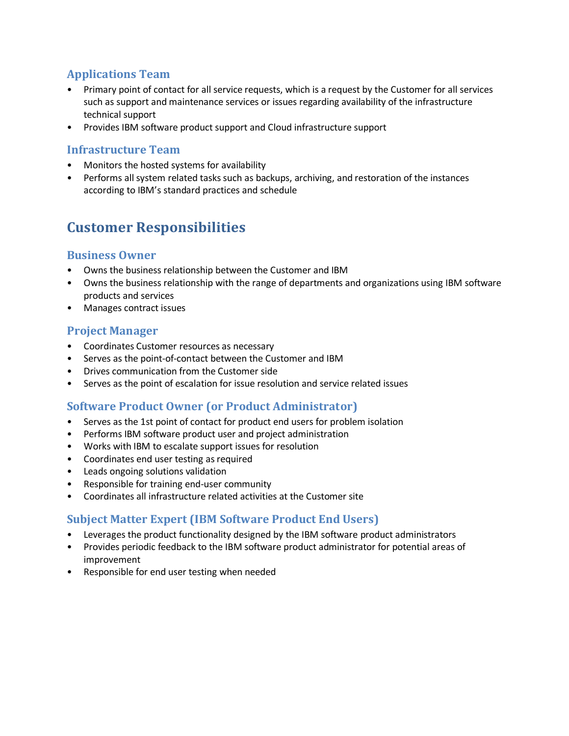### **Applications Team**

- Primary point of contact for all service requests, which is a request by the Customer for all services such as support and maintenance services or issues regarding availability of the infrastructure technical support
- Provides IBM software product support and Cloud infrastructure support

#### **Infrastructure Team**

- Monitors the hosted systems for availability
- Performs all system related tasks such as backups, archiving, and restoration of the instances according to IBM's standard practices and schedule

# **Customer Responsibilities**

#### **Business Owner**

- Owns the business relationship between the Customer and IBM
- Owns the business relationship with the range of departments and organizations using IBM software products and services
- Manages contract issues

#### **Project Manager**

- Coordinates Customer resources as necessary
- Serves as the point-of-contact between the Customer and IBM
- Drives communication from the Customer side
- Serves as the point of escalation for issue resolution and service related issues

#### **Software Product Owner (or Product Administrator)**

- Serves as the 1st point of contact for product end users for problem isolation
- Performs IBM software product user and project administration
- Works with IBM to escalate support issues for resolution
- Coordinates end user testing as required
- Leads ongoing solutions validation
- Responsible for training end-user community
- Coordinates all infrastructure related activities at the Customer site

#### **Subject Matter Expert (IBM Software Product End Users)**

- Leverages the product functionality designed by the IBM software product administrators
- Provides periodic feedback to the IBM software product administrator for potential areas of improvement
- Responsible for end user testing when needed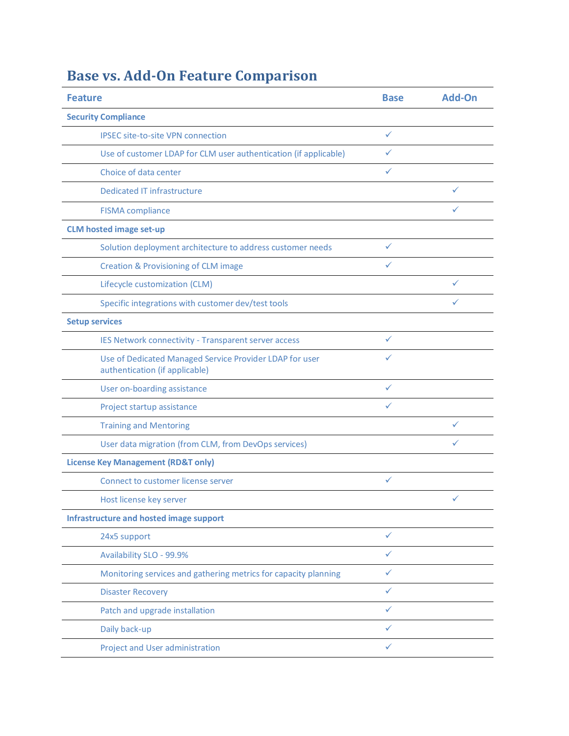# **Base vs. Add-On Feature Comparison**

| <b>Feature</b>                                                                            | <b>Base</b>  | Add-On       |
|-------------------------------------------------------------------------------------------|--------------|--------------|
| <b>Security Compliance</b>                                                                |              |              |
| <b>IPSEC site-to-site VPN connection</b>                                                  | ✓            |              |
| Use of customer LDAP for CLM user authentication (if applicable)                          | ✓            |              |
| Choice of data center                                                                     | ✓            |              |
| <b>Dedicated IT infrastructure</b>                                                        |              | ✓            |
| <b>FISMA</b> compliance                                                                   |              | ✓            |
| <b>CLM hosted image set-up</b>                                                            |              |              |
| Solution deployment architecture to address customer needs                                | ✓            |              |
| <b>Creation &amp; Provisioning of CLM image</b>                                           | $\checkmark$ |              |
| Lifecycle customization (CLM)                                                             |              | ✓            |
| Specific integrations with customer dev/test tools                                        |              | ✓            |
| <b>Setup services</b>                                                                     |              |              |
| IES Network connectivity - Transparent server access                                      | ✓            |              |
| Use of Dedicated Managed Service Provider LDAP for user<br>authentication (if applicable) | ✓            |              |
| User on-boarding assistance                                                               | $\checkmark$ |              |
| Project startup assistance                                                                | ✓            |              |
| <b>Training and Mentoring</b>                                                             |              | ✓            |
| User data migration (from CLM, from DevOps services)                                      |              | ✓            |
| <b>License Key Management (RD&amp;T only)</b>                                             |              |              |
| Connect to customer license server                                                        | ✓            |              |
| Host license key server                                                                   |              | $\checkmark$ |
| Infrastructure and hosted image support                                                   |              |              |
| 24x5 support                                                                              | ✓            |              |
| Availability SLO - 99.9%                                                                  | ✓            |              |
| Monitoring services and gathering metrics for capacity planning                           | ✓            |              |
| <b>Disaster Recovery</b>                                                                  | ✓            |              |
| Patch and upgrade installation                                                            | $\checkmark$ |              |
| Daily back-up                                                                             | ✓            |              |
| Project and User administration                                                           | $\checkmark$ |              |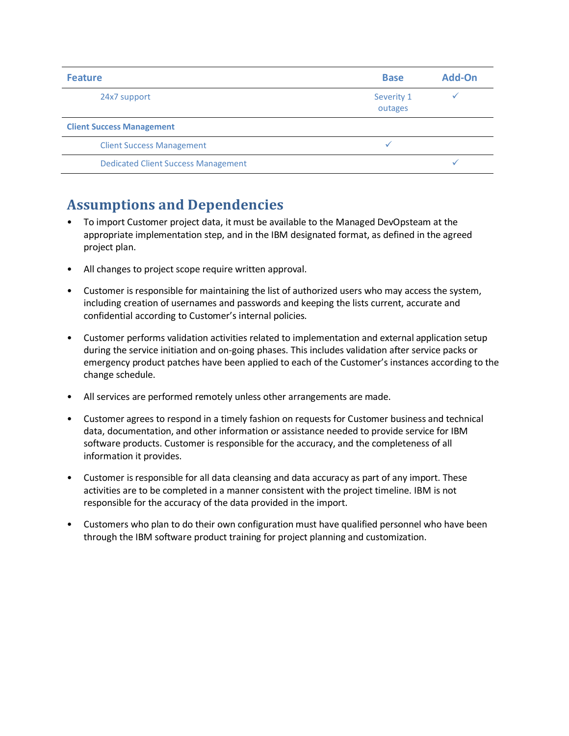| <b>Feature</b>                             | <b>Base</b>           | Add-On |
|--------------------------------------------|-----------------------|--------|
| 24x7 support                               | Severity 1<br>outages |        |
| <b>Client Success Management</b>           |                       |        |
| <b>Client Success Management</b>           |                       |        |
| <b>Dedicated Client Success Management</b> |                       |        |

### **Assumptions and Dependencies**

- To import Customer project data, it must be available to the Managed DevOpsteam at the appropriate implementation step, and in the IBM designated format, as defined in the agreed project plan.
- All changes to project scope require written approval.
- Customer is responsible for maintaining the list of authorized users who may access the system, including creation of usernames and passwords and keeping the lists current, accurate and confidential according to Customer's internal policies.
- Customer performs validation activities related to implementation and external application setup during the service initiation and on-going phases. This includes validation after service packs or emergency product patches have been applied to each of the Customer's instances according to the change schedule.
- All services are performed remotely unless other arrangements are made.
- Customer agrees to respond in a timely fashion on requests for Customer business and technical data, documentation, and other information or assistance needed to provide service for IBM software products. Customer is responsible for the accuracy, and the completeness of all information it provides.
- Customer is responsible for all data cleansing and data accuracy as part of any import. These activities are to be completed in a manner consistent with the project timeline. IBM is not responsible for the accuracy of the data provided in the import.
- Customers who plan to do their own configuration must have qualified personnel who have been through the IBM software product training for project planning and customization.